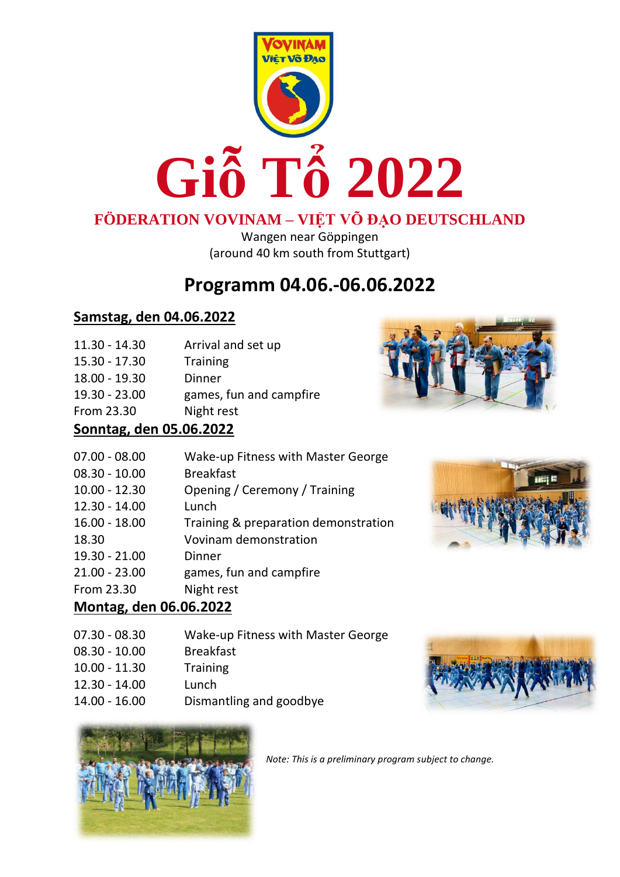

## **FÖDERATION VOVINAM – VIỆT VÕ ĐẠO DEUTSCHLAND**

Wangen near Göppingen (around 40 km south from Stuttgart)

# **Programm 04.06.-06.06.2022**

### **Samstag, den 04.06.2022**

| $11.30 - 14.30$ | Arrival and set up               |
|-----------------|----------------------------------|
| 1 E 2 A 1 7 2 A | Tr <sub>1</sub> sin <sub>1</sub> |

| 15.30 - 17.30     | Training                   |  |
|-------------------|----------------------------|--|
| 18.00 - 19.30     | Dinner                     |  |
| $10.20 \pm 22.00$ | د امید میں اگر میں میں میں |  |

19.30 - 23.00 games, fun and campfire





## **Sonntag, den 05.06.2022**

| $07.00 - 08.00$ | Wake-up Fitness with Master George   |
|-----------------|--------------------------------------|
| $08.30 - 10.00$ | <b>Breakfast</b>                     |
| $10.00 - 12.30$ | Opening / Ceremony / Training        |
| $12.30 - 14.00$ | Lunch                                |
| $16.00 - 18.00$ | Training & preparation demonstration |
| 18.30           | Vovinam demonstration                |
| 19.30 - 21.00   | Dinner                               |
| $21.00 - 23.00$ | games, fun and campfire              |
| From 23.30      | Night rest                           |



## **Montag, den 06.06.2022**

| 07.30 - 08.30 | Wake-up Fitness with Master George |  |
|---------------|------------------------------------|--|
|               |                                    |  |

- 08.30 10.00 Breakfast
- 10.00 11.30 Training
- 12.30 14.00 Lunch
- 14.00 16.00 Dismantling and goodbye





*Note: This is a preliminary program subject to change.*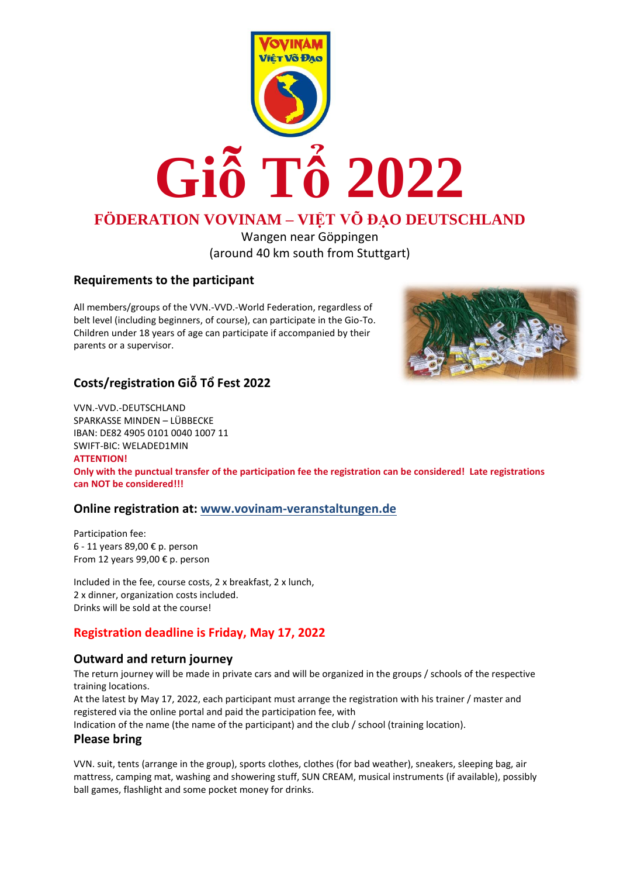

## **FÖDERATION VOVINAM – VIỆT VÕ ĐẠO DEUTSCHLAND**

Wangen near Göppingen (around 40 km south from Stuttgart)

#### **Requirements to the participant**

All members/groups of the VVN.-VVD.-World Federation, regardless of belt level (including beginners, of course), can participate in the Gio-To. Children under 18 years of age can participate if accompanied by their parents or a supervisor.



#### **Costs/registration Giỗ Tổ Fest 2022**

VVN.-VVD.-DEUTSCHLAND SPARKASSE MINDEN – LÜBBECKE IBAN: DE82 4905 0101 0040 1007 11 SWIFT-BIC: WELADED1MIN **ATTENTION! Only with the punctual transfer of the participation fee the registration can be considered! Late registrations can NOT be considered!!!**

#### **Online registration at: [www.vovinam-veranstaltungen.de](http://www.vovinam-veranstaltungen.de/)**

Participation fee: 6 - 11 years 89,00 € p. person From 12 years 99,00 € p. person

Included in the fee, course costs, 2 x breakfast, 2 x lunch, 2 x dinner, organization costs included. Drinks will be sold at the course!

#### **Registration deadline is Friday, May 17, 2022**

#### **Outward and return journey**

The return journey will be made in private cars and will be organized in the groups / schools of the respective training locations.

At the latest by May 17, 2022, each participant must arrange the registration with his trainer / master and registered via the online portal and paid the participation fee, with

Indication of the name (the name of the participant) and the club / school (training location).

#### **Please bring**

VVN. suit, tents (arrange in the group), sports clothes, clothes (for bad weather), sneakers, sleeping bag, air mattress, camping mat, washing and showering stuff, SUN CREAM, musical instruments (if available), possibly ball games, flashlight and some pocket money for drinks.